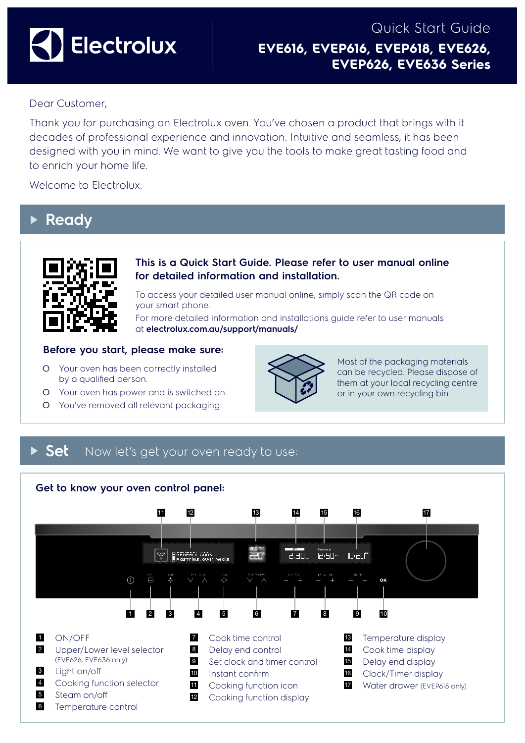

# Quick Start Guide **EVE616, EVEP616, EVEP618, EVE626, EVEP626, EVE636 Series**

# Dear Customer,

Thank you for purchasing an Electrolux oven. You've chosen a product that brings with it decades of professional experience and innovation. Intuitive and seamless, it has been designed with you in mind. We want to give you the tools to make great tasting food and to enrich your home life.

Welcome to Electrolux.

# **Ready**



### **This is a Quick Start Guide. Please refer to user manual online for detailed information and installation.**

To access your detailed user manual online, simply scan the QR code on your smart phone.

For more detailed information and installations guide refer to user manuals at **electrolux.com.au/support/manuals/**

### **Before you start, please make sure:**

- O Your oven has been correctly installed by a qualified person.
- O Your oven has power and is switched on.
- O You've removed all relevant packaging.



Most of the packaging materials can be recycled. Please dispose of them at your local recycling centre or in your own recycling bin.

# **Set** Now let's get your oven ready to use:

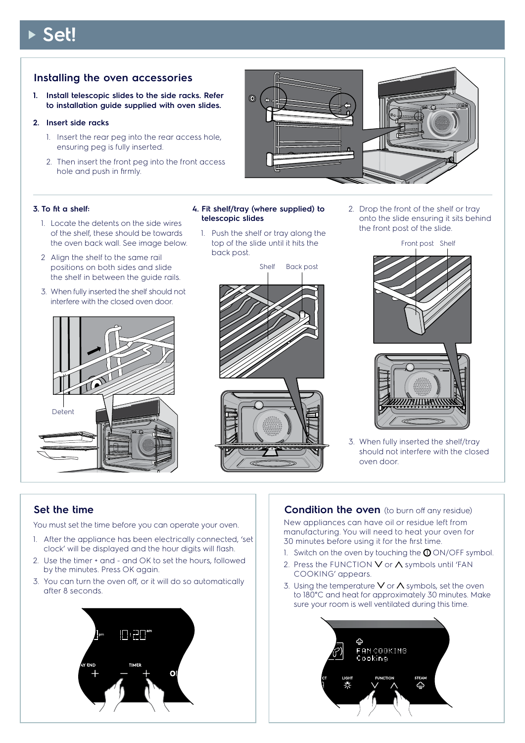# **Set!**

## **Installing the oven accessories**

**1. Install telescopic slides to the side racks. Refer to installation guide supplied with oven slides.**

#### **2. Insert side racks**

- 1. Insert the rear peg into the rear access hole, ensuring peg is fully inserted.
- 2. Then insert the front peg into the front access hole and push in firmly.



#### **3. To fit a shelf:**

- 1. Locate the detents on the side wires of the shelf, these should be towards the oven back wall. See image below.
- 2 Align the shelf to the same rail positions on both sides and slide the shelf in between the guide rails.
- 3. When fully inserted the shelf should not interfere with the closed oven door.



#### **4. Fit shelf/tray (where supplied) to telescopic slides**

1. Push the shelf or tray along the top of the slide until it hits the back post.



2. Drop the front of the shelf or tray onto the slide ensuring it sits behind the front post of the slide.



3. When fully inserted the shelf/tray should not interfere with the closed oven door.

### **Set the time**

You must set the time before you can operate your oven.

- 1. After the appliance has been electrically connected, 'set clock' will be displayed and the hour digits will flash.
- 2. Use the timer + and and OK to set the hours, followed by the minutes. Press OK again.
- 3. You can turn the oven off, or it will do so automatically after 8 seconds.



### **Condition the oven** (to burn off any residue)

New appliances can have oil or residue left from manufacturing. You will need to heat your oven for 30 minutes before using it for the first time.

- 1. Switch on the oven by touching the  $\Phi$  ON/OFF symbol.
- 2. Press the FUNCTION  $\vee$  or  $\wedge$  symbols until 'FAN COOKING' appears.
- 3. Using the temperature V or  $\Lambda$  symbols, set the oven to 180°C and heat for approximately 30 minutes. Make sure your room is well ventilated during this time.

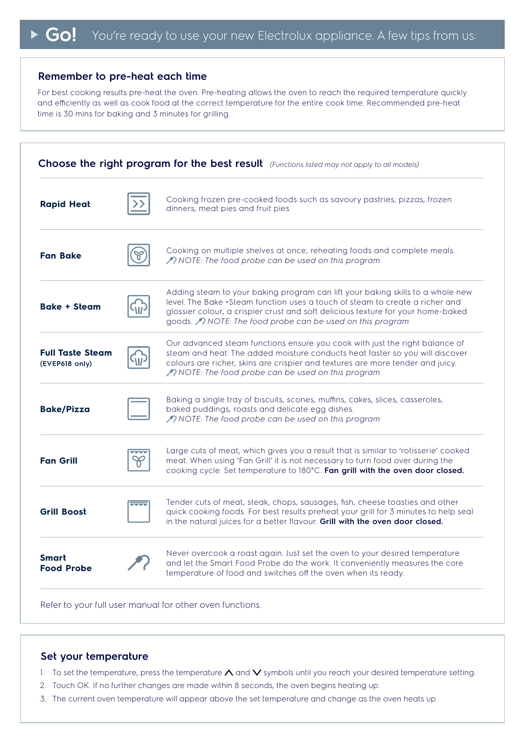#### **Remember to pre-heat each time**

For best cooking results pre-heat the oven. Pre-heating allows the oven to reach the required temperature quickly and efficiently as well as cook food at the correct temperature for the entire cook time. Recommended pre-heat time is 30 mins for baking and 3 minutes for grilling.

| Choose the right program for the best result (Functions listed may not apply to all models) |  |                                                                                                                                                                                                                                                                                                                 |
|---------------------------------------------------------------------------------------------|--|-----------------------------------------------------------------------------------------------------------------------------------------------------------------------------------------------------------------------------------------------------------------------------------------------------------------|
| <b>Rapid Heat</b>                                                                           |  | Cooking frozen pre-cooked foods such as savoury pastries, pizzas, frozen<br>dinners, meat pies and fruit pies                                                                                                                                                                                                   |
| <b>Fan Bake</b>                                                                             |  | Cooking on multiple shelves at once, reheating foods and complete meals.<br>$\sqrt{2}$ NOTE: The food probe can be used on this program                                                                                                                                                                         |
| <b>Bake + Steam</b>                                                                         |  | Adding steam to your baking program can lift your baking skills to a whole new<br>level. The Bake +Steam function uses a touch of steam to create a richer and<br>glossier colour, a crispier crust and soft delicious texture for your home-baked<br>goods. A NOTE: The food probe can be used on this program |
| <b>Full Taste Steam</b><br>(EVEP618 only)                                                   |  | Our advanced steam functions ensure you cook with just the right balance of<br>steam and heat. The added moisture conducts heat faster so you will discover<br>colours are richer, skins are crispier and textures are more tender and juicy.<br><i>ANOTE: The food probe can be used on this program</i>       |
| <b>Bake/Pizza</b>                                                                           |  | Baking a single tray of biscuits, scones, muffins, cakes, slices, casseroles,<br>baked puddings, roasts and delicate egg dishes.<br><i>ANOTE: The food probe can be used on this program</i>                                                                                                                    |
| <b>Fan Grill</b>                                                                            |  | Large cuts of meat, which gives you a result that is similar to 'rotisserie' cooked<br>meat. When using 'Fan Grill' it is not necessary to turn food over during the<br>cooking cycle. Set temperature to 180°C. Fan grill with the oven door closed.                                                           |
| <b>Grill Boost</b>                                                                          |  | Tender cuts of meat, steak, chops, sausages, fish, cheese toasties and other<br>quick cooking foods. For best results preheat your grill for 3 minutes to help seal<br>in the natural juices for a better flavour. <b>Grill with the oven door closed.</b>                                                      |
| <b>Smart</b><br><b>Food Probe</b>                                                           |  | Never overcook a roast again. Just set the oven to your desired temperature<br>and let the Smart Food Probe do the work. It conveniently measures the core<br>temperature of food and switches off the oven when its ready.                                                                                     |
|                                                                                             |  |                                                                                                                                                                                                                                                                                                                 |

Refer to your full user manual for other oven functions.

#### **Set your temperature**

- 1. To set the temperature, press the temperature  $\Lambda$  and  $\vee$  symbols until you reach your desired temperature setting.
- 2. Touch OK. If no further changes are made within 8 seconds, the oven begins heating up.
- 3. The current oven temperature will appear above the set temperature and change as the oven heats up.